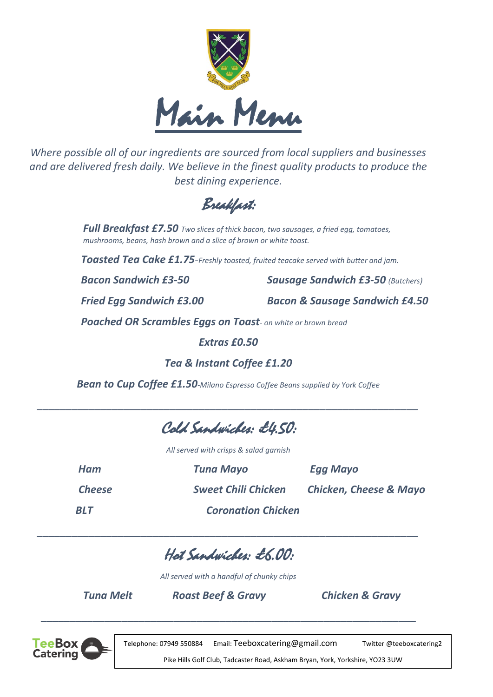

*Where possible all of our ingredients are sourced from local suppliers and businesses and are delivered fresh daily. We believe in the finest quality products to produce the best dining experience.*

Breakfast:

*Full Breakfast £7.50 Two slices of thick bacon, two sausages, a fried egg, tomatoes, mushrooms, beans, hash brown and a slice of brown or white toast.*

 *Toasted Tea Cake £1.75-Freshly toasted, fruited teacake served with butter and jam.*

 *Bacon Sandwich £3-50 Sausage Sandwich £3-50 (Butchers)*

 *Fried Egg Sandwich £3.00 Bacon & Sausage Sandwich £4.50*

 *Poached OR Scrambles Eggs on Toast- on white or brown bread*

*Extras £0.50*

*Tea & Instant Coffee £1.20*

*Bean to Cup Coffee £1.50-Milano Espresso Coffee Beans supplied by York Coffee*

*\_\_\_\_\_\_\_\_\_\_\_\_\_\_\_\_\_\_\_\_\_\_\_\_\_\_\_\_\_\_\_\_\_\_\_\_\_\_\_\_\_\_\_\_\_\_\_\_\_\_\_\_\_\_\_\_\_\_\_\_\_\_\_\_\_\_*

Cold Sandwiches: £4.50:

*All served with crisps & salad garnish*

| Ham           | Tuna Mayo                  | Egg Mayo                          |
|---------------|----------------------------|-----------------------------------|
| <b>Cheese</b> | <b>Sweet Chili Chicken</b> | <b>Chicken, Cheese &amp; Mayo</b> |
| <b>BLT</b>    | <b>Coronation Chicken</b>  |                                   |

Hot Sandwiches: £6.00:

*\_\_\_\_\_\_\_\_\_\_\_\_\_\_\_\_\_\_\_\_\_\_\_\_\_\_\_\_\_\_\_\_\_\_\_\_\_\_\_\_\_\_\_\_\_\_\_\_\_\_\_\_\_\_\_\_\_\_\_\_\_\_\_\_\_\_*

*All served with a handful of chunky chips*

*Tuna Melt Roast Beef & Gravy Chicken & Gravy*

 *\_\_\_\_\_\_\_\_\_\_\_\_\_\_\_\_\_\_\_\_\_\_\_\_\_\_\_\_\_\_\_\_\_\_\_\_\_\_\_\_\_\_\_\_\_\_\_\_\_\_\_\_\_\_\_\_\_\_\_\_\_\_\_\_\_*



Telephone: 07949 550884 Email: [Teeboxcatering@gmail.com](mailto:Teeboxcatering@gmail.com) Twitter @teeboxcatering2

Pike Hills Golf Club, Tadcaster Road, Askham Bryan, York, Yorkshire, YO23 3UW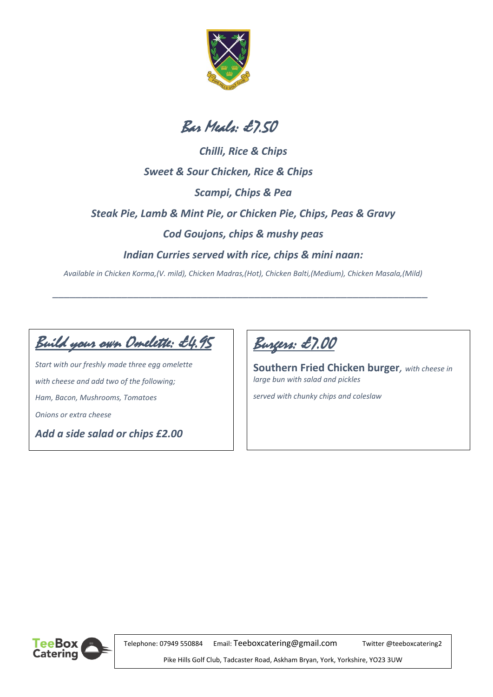



*Chilli, Rice & Chips Sweet & Sour Chicken, Rice & Chips Scampi, Chips & Pea Steak Pie, Lamb & Mint Pie, or Chicken Pie, Chips, Peas & Gravy Cod Goujons, chips & mushy peas Indian Curries served with rice, chips & mini naan:*

*Available in Chicken Korma,(V. mild), Chicken Madras,(Hot), Chicken Balti,(Medium), Chicken Masala,(Mild)*

*\_\_\_\_\_\_\_\_\_\_\_\_\_\_\_\_\_\_\_\_\_\_\_\_\_\_\_\_\_\_\_\_\_\_\_\_\_\_\_\_\_\_\_\_\_\_\_\_\_\_\_\_\_\_\_\_\_\_\_\_\_\_\_\_\_*

Build your own Omelette: £4.95

*Start with our freshly made three egg omelette with cheese and add two of the following; Ham, Bacon, Mushrooms, Tomatoes Onions or extra cheese*

*Add a side salad or chips £2.00*



**Southern Fried Chicken burger***, with cheese in large bun with salad and pickles*

*served with chunky chips and coleslaw*



Telephone: 07949 550884 Email: [Teeboxcatering@gmail.com](mailto:Teeboxcatering@gmail.com) Twitter @teeboxcatering2

Pike Hills Golf Club, Tadcaster Road, Askham Bryan, York, Yorkshire, YO23 3UW